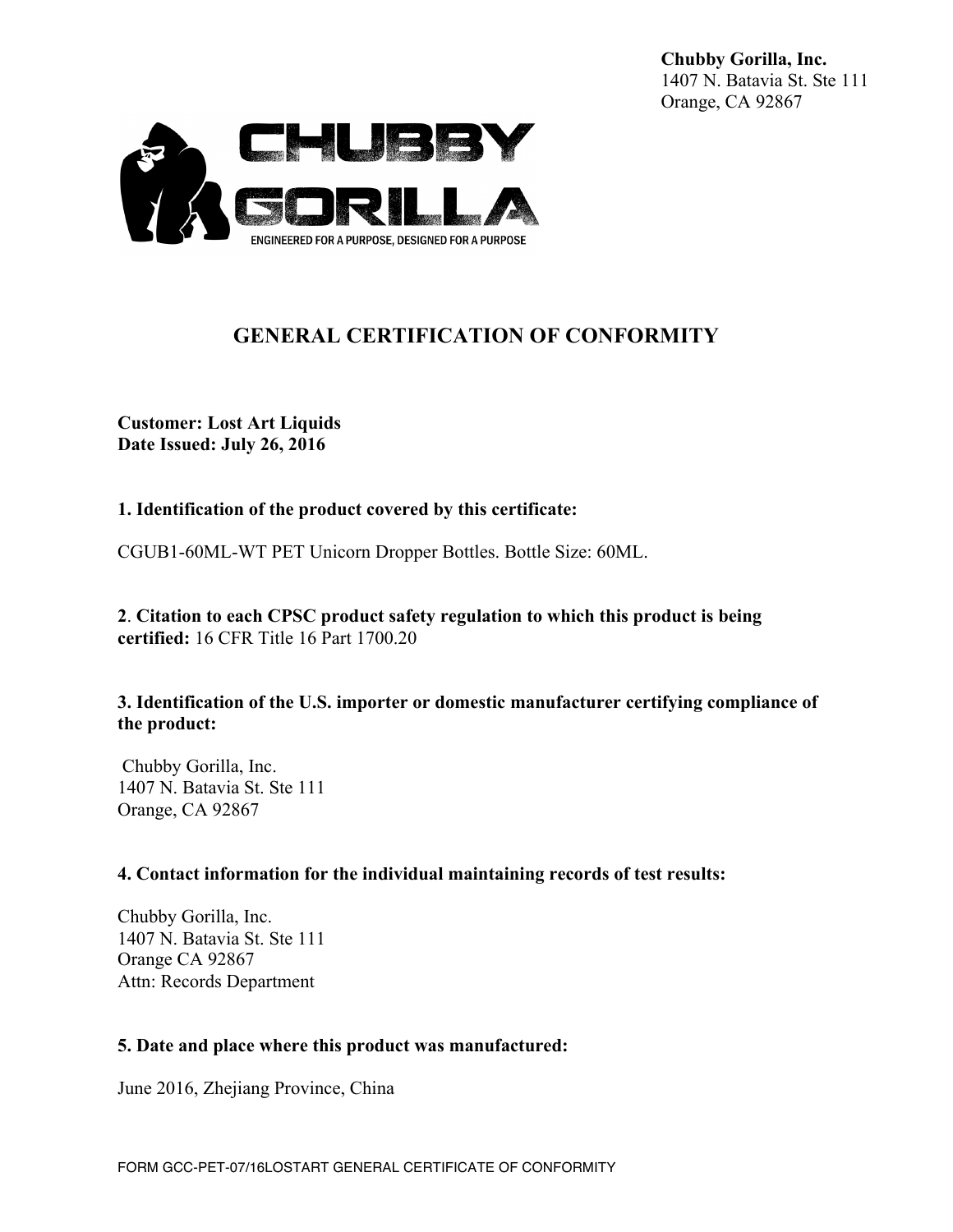**Chubby Gorilla, Inc.** 1407 N. Batavia St. Ste 111 Orange, CA 92867



# **GENERAL CERTIFICATION OF CONFORMITY**

**Customer: Lost Art Liquids Date Issued: July 26, 2016**

## **1. Identification of the product covered by this certificate:**

CGUB1-60ML-WT PET Unicorn Dropper Bottles. Bottle Size: 60ML.

**2**. **Citation to each CPSC product safety regulation to which this product is being certified:** 16 CFR Title 16 Part 1700.20

### **3. Identification of the U.S. importer or domestic manufacturer certifying compliance of the product:**

Chubby Gorilla, Inc. 1407 N. Batavia St. Ste 111 Orange, CA 92867

### **4. Contact information for the individual maintaining records of test results:**

Chubby Gorilla, Inc. 1407 N. Batavia St. Ste 111 Orange CA 92867 Attn: Records Department

### **5. Date and place where this product was manufactured:**

June 2016, Zhejiang Province, China